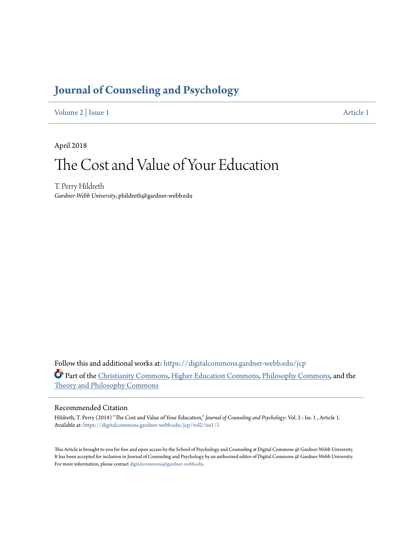## **[Journal of Counseling and Psychology](https://digitalcommons.gardner-webb.edu/jcp?utm_source=digitalcommons.gardner-webb.edu%2Fjcp%2Fvol2%2Fiss1%2F1&utm_medium=PDF&utm_campaign=PDFCoverPages)**

[Volume 2](https://digitalcommons.gardner-webb.edu/jcp/vol2?utm_source=digitalcommons.gardner-webb.edu%2Fjcp%2Fvol2%2Fiss1%2F1&utm_medium=PDF&utm_campaign=PDFCoverPages) | [Issue 1](https://digitalcommons.gardner-webb.edu/jcp/vol2/iss1?utm_source=digitalcommons.gardner-webb.edu%2Fjcp%2Fvol2%2Fiss1%2F1&utm_medium=PDF&utm_campaign=PDFCoverPages) [Article 1](https://digitalcommons.gardner-webb.edu/jcp/vol2/iss1/1?utm_source=digitalcommons.gardner-webb.edu%2Fjcp%2Fvol2%2Fiss1%2F1&utm_medium=PDF&utm_campaign=PDFCoverPages)

April 2018

# The Cost and Value of Your Education

T. Perry Hildreth *Gardner-Webb University*, phildreth@gardner-webb.edu

Follow this and additional works at: [https://digitalcommons.gardner-webb.edu/jcp](https://digitalcommons.gardner-webb.edu/jcp?utm_source=digitalcommons.gardner-webb.edu%2Fjcp%2Fvol2%2Fiss1%2F1&utm_medium=PDF&utm_campaign=PDFCoverPages) Part of the [Christianity Commons,](http://network.bepress.com/hgg/discipline/1181?utm_source=digitalcommons.gardner-webb.edu%2Fjcp%2Fvol2%2Fiss1%2F1&utm_medium=PDF&utm_campaign=PDFCoverPages) [Higher Education Commons,](http://network.bepress.com/hgg/discipline/1245?utm_source=digitalcommons.gardner-webb.edu%2Fjcp%2Fvol2%2Fiss1%2F1&utm_medium=PDF&utm_campaign=PDFCoverPages) [Philosophy Commons,](http://network.bepress.com/hgg/discipline/525?utm_source=digitalcommons.gardner-webb.edu%2Fjcp%2Fvol2%2Fiss1%2F1&utm_medium=PDF&utm_campaign=PDFCoverPages) and the [Theory and Philosophy Commons](http://network.bepress.com/hgg/discipline/1238?utm_source=digitalcommons.gardner-webb.edu%2Fjcp%2Fvol2%2Fiss1%2F1&utm_medium=PDF&utm_campaign=PDFCoverPages)

#### Recommended Citation

Hildreth, T. Perry (2018) "The Cost and Value of Your Education," *Journal of Counseling and Psychology*: Vol. 2 : Iss. 1 , Article 1. Available at: [https://digitalcommons.gardner-webb.edu/jcp/vol2/iss1/1](https://digitalcommons.gardner-webb.edu/jcp/vol2/iss1/1?utm_source=digitalcommons.gardner-webb.edu%2Fjcp%2Fvol2%2Fiss1%2F1&utm_medium=PDF&utm_campaign=PDFCoverPages)

This Article is brought to you for free and open access by the School of Psychology and Counseling at Digital Commons @ Gardner-Webb University. It has been accepted for inclusion in Journal of Counseling and Psychology by an authorized editor of Digital Commons @ Gardner-Webb University. For more information, please contact [digitalcommons@gardner-webb.edu.](mailto:digitalcommons@gardner-webb.edu)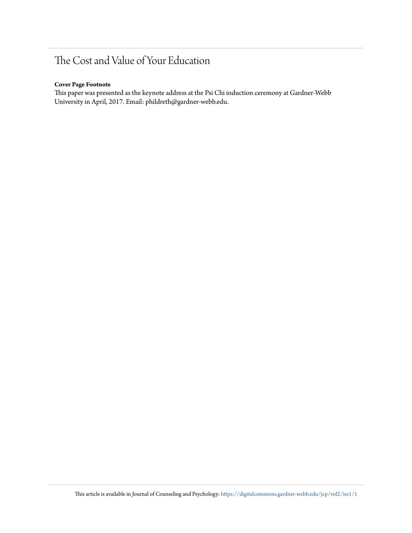## The Cost and Value of Your Education

#### **Cover Page Footnote**

This paper was presented as the keynote address at the Psi Chi induction ceremony at Gardner-Webb University in April, 2017. Email: phildreth@gardner-webb.edu.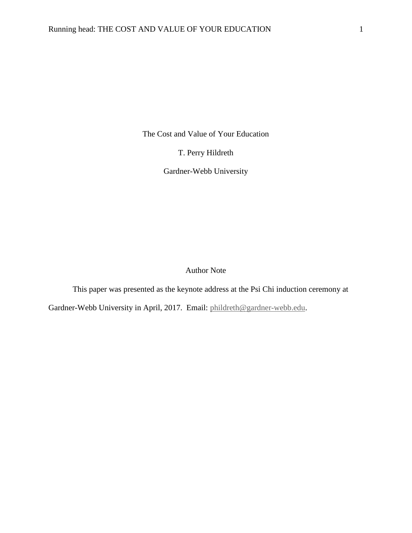The Cost and Value of Your Education

T. Perry Hildreth

Gardner-Webb University

Author Note

This paper was presented as the keynote address at the Psi Chi induction ceremony at

Gardner-Webb University in April, 2017. Email: [phildreth@gardner-webb.edu.](mailto:phildreth@gardner-webb.edu)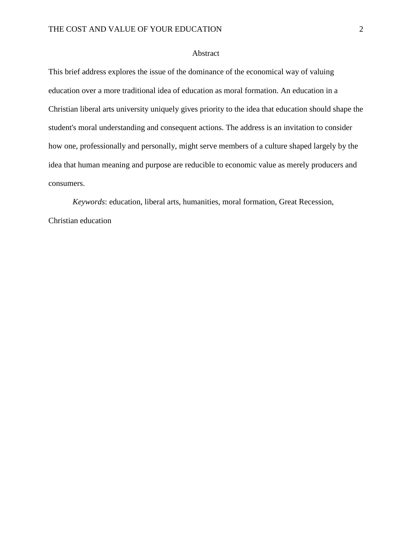### Abstract

This brief address explores the issue of the dominance of the economical way of valuing education over a more traditional idea of education as moral formation. An education in a Christian liberal arts university uniquely gives priority to the idea that education should shape the student's moral understanding and consequent actions. The address is an invitation to consider how one, professionally and personally, might serve members of a culture shaped largely by the idea that human meaning and purpose are reducible to economic value as merely producers and consumers.

*Keywords*: education, liberal arts, humanities, moral formation, Great Recession, Christian education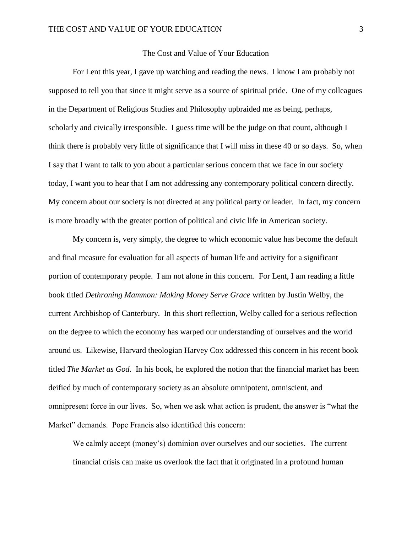#### The Cost and Value of Your Education

For Lent this year, I gave up watching and reading the news. I know I am probably not supposed to tell you that since it might serve as a source of spiritual pride. One of my colleagues in the Department of Religious Studies and Philosophy upbraided me as being, perhaps, scholarly and civically irresponsible. I guess time will be the judge on that count, although I think there is probably very little of significance that I will miss in these 40 or so days. So, when I say that I want to talk to you about a particular serious concern that we face in our society today, I want you to hear that I am not addressing any contemporary political concern directly. My concern about our society is not directed at any political party or leader. In fact, my concern is more broadly with the greater portion of political and civic life in American society.

My concern is, very simply, the degree to which economic value has become the default and final measure for evaluation for all aspects of human life and activity for a significant portion of contemporary people. I am not alone in this concern. For Lent, I am reading a little book titled *Dethroning Mammon: Making Money Serve Grace* written by Justin Welby, the current Archbishop of Canterbury. In this short reflection, Welby called for a serious reflection on the degree to which the economy has warped our understanding of ourselves and the world around us. Likewise, Harvard theologian Harvey Cox addressed this concern in his recent book titled *The Market as God*. In his book, he explored the notion that the financial market has been deified by much of contemporary society as an absolute omnipotent, omniscient, and omnipresent force in our lives. So, when we ask what action is prudent, the answer is "what the Market" demands. Pope Francis also identified this concern:

We calmly accept (money's) dominion over ourselves and our societies. The current financial crisis can make us overlook the fact that it originated in a profound human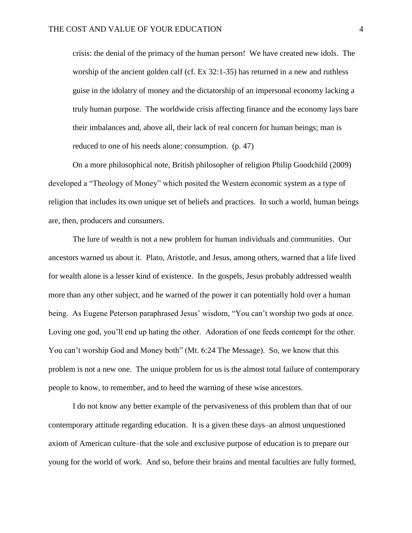crisis: the denial of the primacy of the human person! We have created new idols. The worship of the ancient golden calf (cf. Ex 32:1-35) has returned in a new and ruthless guise in the idolatry of money and the dictatorship of an impersonal economy lacking a truly human purpose. The worldwide crisis affecting finance and the economy lays bare their imbalances and, above all, their lack of real concern for human beings; man is reduced to one of his needs alone: consumption. (p. 47)

On a more philosophical note, British philosopher of religion Philip Goodchild (2009) developed a "Theology of Money" which posited the Western economic system as a type of religion that includes its own unique set of beliefs and practices. In such a world, human beings are, then, producers and consumers.

The lure of wealth is not a new problem for human individuals and communities. Our ancestors warned us about it. Plato, Aristotle, and Jesus, among others, warned that a life lived for wealth alone is a lesser kind of existence. In the gospels, Jesus probably addressed wealth more than any other subject, and he warned of the power it can potentially hold over a human being. As Eugene Peterson paraphrased Jesus' wisdom, "You can't worship two gods at once. Loving one god, you'll end up hating the other. Adoration of one feeds contempt for the other. You can't worship God and Money both" (Mt. 6:24 The Message). So, we know that this problem is not a new one. The unique problem for us is the almost total failure of contemporary people to know, to remember, and to heed the warning of these wise ancestors.

I do not know any better example of the pervasiveness of this problem than that of our contemporary attitude regarding education. It is a given these days–an almost unquestioned axiom of American culture–that the sole and exclusive purpose of education is to prepare our young for the world of work. And so, before their brains and mental faculties are fully formed,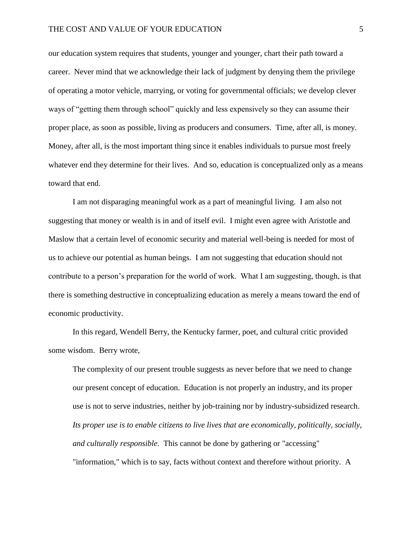our education system requires that students, younger and younger, chart their path toward a career. Never mind that we acknowledge their lack of judgment by denying them the privilege of operating a motor vehicle, marrying, or voting for governmental officials; we develop clever ways of "getting them through school" quickly and less expensively so they can assume their proper place, as soon as possible, living as producers and consumers. Time, after all, is money. Money, after all, is the most important thing since it enables individuals to pursue most freely whatever end they determine for their lives. And so, education is conceptualized only as a means toward that end.

I am not disparaging meaningful work as a part of meaningful living. I am also not suggesting that money or wealth is in and of itself evil. I might even agree with Aristotle and Maslow that a certain level of economic security and material well-being is needed for most of us to achieve our potential as human beings. I am not suggesting that education should not contribute to a person's preparation for the world of work. What I am suggesting, though, is that there is something destructive in conceptualizing education as merely a means toward the end of economic productivity.

In this regard, Wendell Berry, the Kentucky farmer, poet, and cultural critic provided some wisdom. Berry wrote,

The complexity of our present trouble suggests as never before that we need to change our present concept of education. Education is not properly an industry, and its proper use is not to serve industries, neither by job-training nor by industry-subsidized research. *Its proper use is to enable citizens to live lives that are economically, politically, socially, and culturally responsible*. This cannot be done by gathering or "accessing" "information," which is to say, facts without context and therefore without priority. A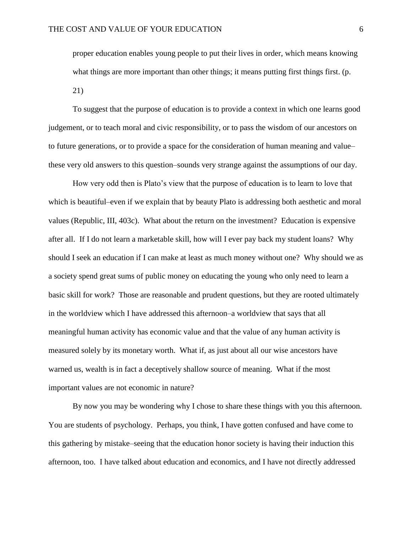proper education enables young people to put their lives in order, which means knowing what things are more important than other things; it means putting first things first. (p. 21)

To suggest that the purpose of education is to provide a context in which one learns good judgement, or to teach moral and civic responsibility, or to pass the wisdom of our ancestors on to future generations, or to provide a space for the consideration of human meaning and value– these very old answers to this question–sounds very strange against the assumptions of our day.

How very odd then is Plato's view that the purpose of education is to learn to love that which is beautiful–even if we explain that by beauty Plato is addressing both aesthetic and moral values (Republic, III, 403c). What about the return on the investment? Education is expensive after all. If I do not learn a marketable skill, how will I ever pay back my student loans? Why should I seek an education if I can make at least as much money without one? Why should we as a society spend great sums of public money on educating the young who only need to learn a basic skill for work? Those are reasonable and prudent questions, but they are rooted ultimately in the worldview which I have addressed this afternoon–a worldview that says that all meaningful human activity has economic value and that the value of any human activity is measured solely by its monetary worth. What if, as just about all our wise ancestors have warned us, wealth is in fact a deceptively shallow source of meaning. What if the most important values are not economic in nature?

By now you may be wondering why I chose to share these things with you this afternoon. You are students of psychology. Perhaps, you think, I have gotten confused and have come to this gathering by mistake–seeing that the education honor society is having their induction this afternoon, too. I have talked about education and economics, and I have not directly addressed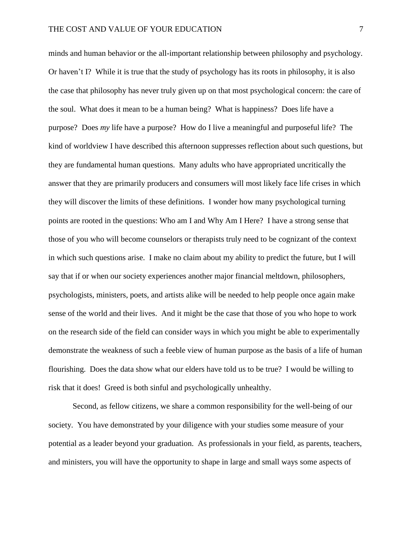minds and human behavior or the all-important relationship between philosophy and psychology. Or haven't I? While it is true that the study of psychology has its roots in philosophy, it is also the case that philosophy has never truly given up on that most psychological concern: the care of the soul. What does it mean to be a human being? What is happiness? Does life have a purpose? Does *my* life have a purpose? How do I live a meaningful and purposeful life? The kind of worldview I have described this afternoon suppresses reflection about such questions, but they are fundamental human questions. Many adults who have appropriated uncritically the answer that they are primarily producers and consumers will most likely face life crises in which they will discover the limits of these definitions. I wonder how many psychological turning points are rooted in the questions: Who am I and Why Am I Here? I have a strong sense that those of you who will become counselors or therapists truly need to be cognizant of the context in which such questions arise. I make no claim about my ability to predict the future, but I will say that if or when our society experiences another major financial meltdown, philosophers, psychologists, ministers, poets, and artists alike will be needed to help people once again make sense of the world and their lives. And it might be the case that those of you who hope to work on the research side of the field can consider ways in which you might be able to experimentally demonstrate the weakness of such a feeble view of human purpose as the basis of a life of human flourishing. Does the data show what our elders have told us to be true? I would be willing to risk that it does! Greed is both sinful and psychologically unhealthy.

Second, as fellow citizens, we share a common responsibility for the well-being of our society. You have demonstrated by your diligence with your studies some measure of your potential as a leader beyond your graduation. As professionals in your field, as parents, teachers, and ministers, you will have the opportunity to shape in large and small ways some aspects of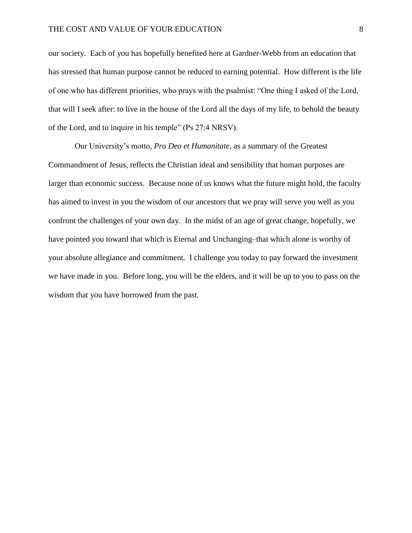our society. Each of you has hopefully benefited here at Gardner-Webb from an education that has stressed that human purpose cannot be reduced to earning potential. How different is the life of one who has different priorities, who prays with the psalmist: "One thing I asked of the Lord, that will I seek after: to live in the house of the Lord all the days of my life, to behold the beauty of the Lord, and to inquire in his temple" (Ps 27:4 NRSV).

Our University's motto, *Pro Deo et Humanitate*, as a summary of the Greatest Commandment of Jesus, reflects the Christian ideal and sensibility that human purposes are larger than economic success. Because none of us knows what the future might hold, the faculty has aimed to invest in you the wisdom of our ancestors that we pray will serve you well as you confront the challenges of your own day. In the midst of an age of great change, hopefully, we have pointed you toward that which is Eternal and Unchanging–that which alone is worthy of your absolute allegiance and commitment. I challenge you today to pay forward the investment we have made in you. Before long, you will be the elders, and it will be up to you to pass on the wisdom that you have borrowed from the past.